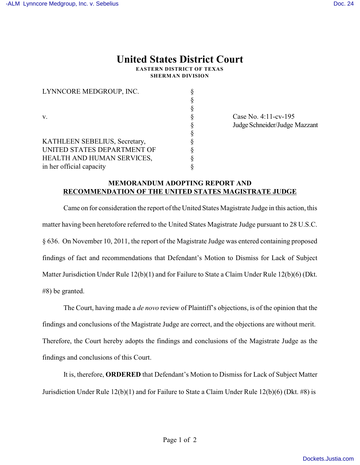## **United States District Court**

**EASTERN DISTRICT OF TEXAS SHERMAN DIVISION**

| LYNNCORE MEDGROUP, INC.       |  |
|-------------------------------|--|
|                               |  |
|                               |  |
| V.                            |  |
|                               |  |
|                               |  |
| KATHLEEN SEBELIUS, Secretary, |  |
| UNITED STATES DEPARTMENT OF   |  |
| HEALTH AND HUMAN SERVICES,    |  |
| in her official capacity      |  |

Case No.  $4:11$ -cv-195 Judge Schneider/Judge Mazzant

## **MEMORANDUM ADOPTING REPORT AND RECOMMENDATION OF THE UNITED STATES MAGISTRATE JUDGE**

Came on for consideration the report of the United States Magistrate Judge in this action, this matter having been heretofore referred to the United States Magistrate Judge pursuant to 28 U.S.C. § 636. On November 10, 2011, the report of the Magistrate Judge was entered containing proposed findings of fact and recommendations that Defendant's Motion to Dismiss for Lack of Subject Matter Jurisdiction Under Rule 12(b)(1) and for Failure to State a Claim Under Rule 12(b)(6) (Dkt. #8) be granted.

The Court, having made a *de novo* review of Plaintiff's objections, is of the opinion that the findings and conclusions of the Magistrate Judge are correct, and the objections are without merit. Therefore, the Court hereby adopts the findings and conclusions of the Magistrate Judge as the findings and conclusions of this Court.

It is, therefore, **ORDERED** that Defendant's Motion to Dismiss for Lack of Subject Matter Jurisdiction Under Rule 12(b)(1) and for Failure to State a Claim Under Rule 12(b)(6) (Dkt. #8) is